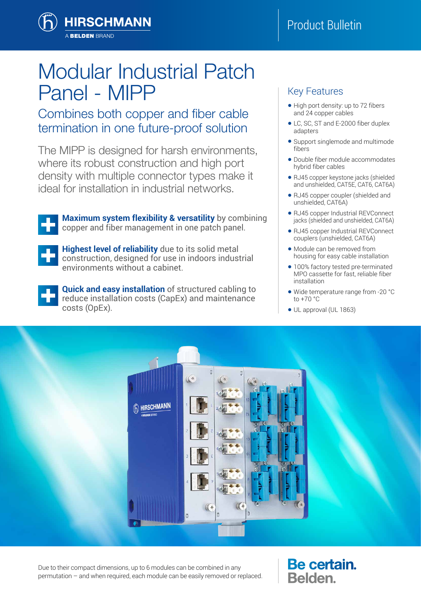

# Modular Industrial Patch Panel - MIPP

# Combines both copper and fiber cable termination in one future-proof solution

The MIPP is designed for harsh environments, where its robust construction and high port density with multiple connector types make it ideal for installation in industrial networks.



**Maximum system flexibility & versatility** by combining copper and fiber management in one patch panel.



**Highest level of reliability** due to its solid metal construction, designed for use in indoors industrial environments without a cabinet.



**Quick and easy installation** of structured cabling to reduce installation costs (CapEx) and maintenance costs (OpEx).

### Key Features

- High port density: up to 72 fibers and 24 copper cables
- LC, SC, ST and E-2000 fiber duplex adapters
- Support singlemode and multimode fibers
- Double fiber module accommodates hybrid fiber cables
- RJ45 copper keystone jacks (shielded and unshielded, CAT5E, CAT6, CAT6A)
- RJ45 copper coupler (shielded and unshielded, CAT6A)
- RJ45 copper Industrial REVConnect jacks (shielded and unshielded, CAT6A)
- RJ45 copper Industrial REVConnect couplers (unshielded, CAT6A)
- Module can be removed from housing for easy cable installation
- 100% factory tested pre-terminated MPO cassette for fast, reliable fiber installation
- Wide temperature range from -20 °C to +70 °C
- UL approval (UL 1863)



Due to their compact dimensions, up to 6 modules can be combined in any permutation – and when required, each module can be easily removed or replaced. Be certain. **Belden.**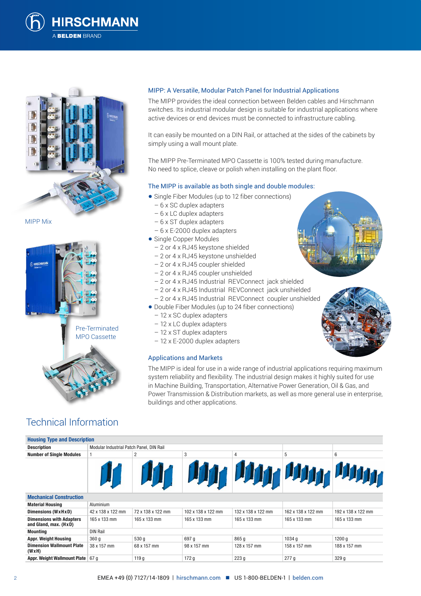



MIPP Mix



## Technical Information

#### MIPP: A Versatile, Modular Patch Panel for Industrial Applications

The MIPP provides the ideal connection between Belden cables and Hirschmann switches. Its industrial modular design is suitable for industrial applications where active devices or end devices must be connected to infrastructure cabling.

It can easily be mounted on a DIN Rail, or attached at the sides of the cabinets by simply using a wall mount plate.

The MIPP Pre-Terminated MPO Cassette is 100% tested during manufacture. No need to splice, cleave or polish when installing on the plant floor.

#### The MIPP is available as both single and double modules:

- Single Fiber Modules (up to 12 fiber connections)
	- 6 x SC duplex adapters
	- 6 x LC duplex adapters
	- 6 x ST duplex adapters
	- 6 x E-2000 duplex adapters
- Single Copper Modules
	- 2 or 4 x RJ45 keystone shielded
	- 2 or 4 x RJ45 keystone unshielded
	- 2 or 4 x RJ45 coupler shielded
	- 2 or 4 x RJ45 coupler unshielded
	- 2 or 4 x RJ45 Industrial REVConnect jack shielded
	- 2 or 4 x RJ45 Industrial REVConnect jack unshielded
- 2 or 4 x RJ45 Industrial REVConnect coupler unshielded
- Double Fiber Modules (up to 24 fiber connections)
- 12 x SC duplex adapters
- 12 x LC duplex adapters
- 12 x ST duplex adapters
- 12 x E-2000 duplex adapters

#### Applications and Markets



The MIPP is ideal for use in a wide range of industrial applications requiring maximum system reliability and flexibility. The industrial design makes it highly suited for use in Machine Building, Transportation, Alternative Power Generation, Oil & Gas, and Power Transmission & Distribution markets, as well as more general use in enterprise, buildings and other applications.

| <b>Housing Type and Description</b> |                                          |                |   |  |   |   |
|-------------------------------------|------------------------------------------|----------------|---|--|---|---|
| <b>Description</b>                  | Modular Industrial Patch Panel, DIN Rail |                |   |  |   |   |
| <b>Number of Single Modules</b>     |                                          | $\overline{2}$ | 3 |  | 5 | 6 |
|                                     |                                          |                |   |  |   |   |
| <b>Mechanical Construction</b>      |                                          |                |   |  |   |   |
|                                     |                                          |                |   |  |   |   |

| <b>Material Housing</b>                                  | Aluminium         |                   |                    |                    |                    |                    |
|----------------------------------------------------------|-------------------|-------------------|--------------------|--------------------|--------------------|--------------------|
| Dimensions (WxHxD)                                       | 42 x 138 x 122 mm | 72 x 138 x 122 mm | 102 x 138 x 122 mm | 132 x 138 x 122 mm | 162 x 138 x 122 mm | 192 x 138 x 122 mm |
| <b>Dimensions with Adapters</b><br>and Gland, max. (HxD) | 165 x 133 mm      | 165 x 133 mm      | 165 x 133 mm       | 165 x 133 mm       | 165 x 133 mm       | 165 x 133 mm       |
| <b>Mounting</b>                                          | <b>DIN Rail</b>   |                   |                    |                    |                    |                    |
| <b>Appr. Weight Housing</b>                              | 360q              | 530 g             | 697 q              | 865q               | 1034 a             | 1200q              |
| <b>Dimension Wallmount Plate</b><br>(WxH)                | 38 x 157 mm       | 68 x 157 mm       | 98 x 157 mm        | 128 x 157 mm       | 158 x 157 mm       | 188 x 157 mm       |
| Appr. Weight Wallmount Plate   67 g                      |                   | 119 <sub>g</sub>  | 172g               | 223q               | 277g               | 329g               |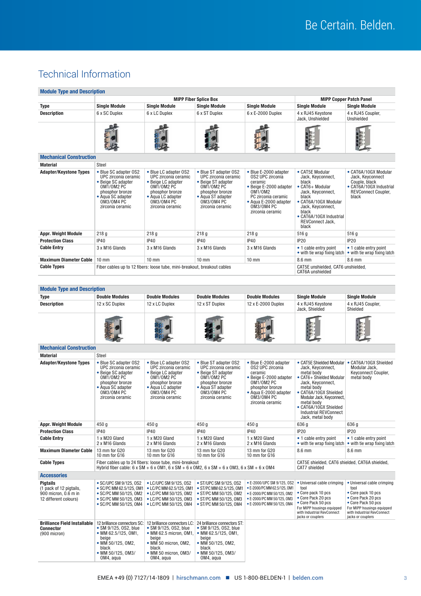# Technical Information

| <b>Module Type and Description</b>                                                          |                                                                                                                                                                                                          |                                                                                                                                                                |                                                                                                                                                                    |                                                                                                                                                                                           |                                                                                                                                                                                                                                                                                                   |                                                                                                                                                                                       |  |
|---------------------------------------------------------------------------------------------|----------------------------------------------------------------------------------------------------------------------------------------------------------------------------------------------------------|----------------------------------------------------------------------------------------------------------------------------------------------------------------|--------------------------------------------------------------------------------------------------------------------------------------------------------------------|-------------------------------------------------------------------------------------------------------------------------------------------------------------------------------------------|---------------------------------------------------------------------------------------------------------------------------------------------------------------------------------------------------------------------------------------------------------------------------------------------------|---------------------------------------------------------------------------------------------------------------------------------------------------------------------------------------|--|
|                                                                                             |                                                                                                                                                                                                          | <b>MIPP Fiber Splice Box</b>                                                                                                                                   |                                                                                                                                                                    |                                                                                                                                                                                           | <b>MIPP Copper Patch Panel</b>                                                                                                                                                                                                                                                                    |                                                                                                                                                                                       |  |
| Type                                                                                        | <b>Single Module</b>                                                                                                                                                                                     | <b>Single Module</b>                                                                                                                                           | <b>Single Module</b>                                                                                                                                               | <b>Single Module</b><br>6 x E-2000 Duplex                                                                                                                                                 | <b>Single Module</b>                                                                                                                                                                                                                                                                              | <b>Single Module</b>                                                                                                                                                                  |  |
| <b>Description</b>                                                                          | 6 x SC Duplex                                                                                                                                                                                            | 6 x LC Duplex                                                                                                                                                  | 6 x ST Duplex                                                                                                                                                      |                                                                                                                                                                                           | 4 x RJ45 Keystone<br>Jack, Unshielded                                                                                                                                                                                                                                                             | 4 x RJ45 Coupler,<br>Unshielded                                                                                                                                                       |  |
|                                                                                             |                                                                                                                                                                                                          |                                                                                                                                                                |                                                                                                                                                                    |                                                                                                                                                                                           |                                                                                                                                                                                                                                                                                                   |                                                                                                                                                                                       |  |
| <b>Mechanical Construction</b>                                                              |                                                                                                                                                                                                          |                                                                                                                                                                |                                                                                                                                                                    |                                                                                                                                                                                           |                                                                                                                                                                                                                                                                                                   |                                                                                                                                                                                       |  |
| <b>Material</b>                                                                             | <b>Steel</b>                                                                                                                                                                                             |                                                                                                                                                                |                                                                                                                                                                    |                                                                                                                                                                                           |                                                                                                                                                                                                                                                                                                   |                                                                                                                                                                                       |  |
| <b>Adapter/Keystone Types</b>                                                               | • Blue SC adapter 0S2<br>UPC zirconia ceramic<br>• Beige SC adapter<br>0M1/0M2 PC<br>phosphor bronze<br>• Aqua SC adapter<br>0M3/0M4 PC<br>zirconia ceramic                                              | • Blue LC adapter OS2<br>UPC zirconia ceramic<br>• Beige LC adapter<br>OM1/OM2 PC<br>phosphor bronze<br>• Aqua LC adapter<br>OM3/OM4 PC<br>zirconia ceramic    | • Blue ST adapter OS2<br>UPC zirconia ceramic<br>• Beige ST adapter<br><b>OM1/OM2 PC</b><br>phosphor bronze<br>• Aqua ST adapter<br>0M3/0M4 PC<br>zirconia ceramic | • Blue E-2000 adapter<br><b>0S2 UPC zirconia</b><br>ceramic<br>• Beige E-2000 adapter<br>0M1/0M2<br>PC zirconia ceramic<br>• Aqua E-2000 adapter<br><b>OM3/OM4 PC</b><br>zirconia ceramic | • CAT5E Modular<br>Jack. Kevconnect.<br>black<br>• CAT6+ Modular<br>Jack, Keyconnect,<br>black<br>• CAT6A/10GX Modular<br>Jack, Keyconnect,<br>black<br>• CAT6A/10GX Industrial<br>REVConnect Jack,<br>black                                                                                      | • CAT6A/10GX Modular<br>Jack, Keyconnect<br>Couple, black<br>• CAT6A/10GX Industrial<br><b>REVConnect Coupler,</b><br>black                                                           |  |
| <b>Appr. Weight Module</b>                                                                  | 218 <sub>g</sub>                                                                                                                                                                                         | 218 <sub>g</sub>                                                                                                                                               | 218 <sub>g</sub>                                                                                                                                                   | 218 <sub>g</sub>                                                                                                                                                                          | 516 g                                                                                                                                                                                                                                                                                             | 516 g                                                                                                                                                                                 |  |
| <b>Protection Class</b>                                                                     | <b>IP40</b>                                                                                                                                                                                              | <b>IP40</b>                                                                                                                                                    | <b>IP40</b>                                                                                                                                                        | <b>IP40</b>                                                                                                                                                                               | <b>IP20</b>                                                                                                                                                                                                                                                                                       | <b>IP20</b>                                                                                                                                                                           |  |
| <b>Cable Entry</b>                                                                          | 3 x M16 Glands                                                                                                                                                                                           | 3 x M16 Glands                                                                                                                                                 | 3 x M16 Glands                                                                                                                                                     | 3 x M16 Glands                                                                                                                                                                            | • 1 cable entry point<br>• with tie wrap fixing latch                                                                                                                                                                                                                                             | • 1 cable entry point<br>• with tie wrap fixing latch                                                                                                                                 |  |
| <b>Maximum Diameter Cable</b>                                                               | $10 \text{ mm}$                                                                                                                                                                                          | $10 \text{ mm}$                                                                                                                                                | $10 \text{ mm}$                                                                                                                                                    | $10 \text{ mm}$                                                                                                                                                                           | $8.6 \text{ mm}$                                                                                                                                                                                                                                                                                  | 8.6 mm                                                                                                                                                                                |  |
| <b>Cable Types</b>                                                                          |                                                                                                                                                                                                          | Fiber cables up to 12 fibers: loose tube, mini-breakout, breakout cables                                                                                       |                                                                                                                                                                    |                                                                                                                                                                                           | CAT5E unshielded, CAT6 unshielded,<br>CAT6A unshielded                                                                                                                                                                                                                                            |                                                                                                                                                                                       |  |
|                                                                                             |                                                                                                                                                                                                          |                                                                                                                                                                |                                                                                                                                                                    |                                                                                                                                                                                           |                                                                                                                                                                                                                                                                                                   |                                                                                                                                                                                       |  |
| <b>Module Type and Description</b>                                                          |                                                                                                                                                                                                          |                                                                                                                                                                |                                                                                                                                                                    |                                                                                                                                                                                           |                                                                                                                                                                                                                                                                                                   |                                                                                                                                                                                       |  |
| Type                                                                                        | <b>Double Modules</b>                                                                                                                                                                                    | <b>Double Modules</b>                                                                                                                                          | <b>Double Modules</b>                                                                                                                                              | <b>Double Modules</b>                                                                                                                                                                     | <b>Single Module</b>                                                                                                                                                                                                                                                                              | <b>Single Module</b>                                                                                                                                                                  |  |
| <b>Description</b>                                                                          | 12 x SC Duplex                                                                                                                                                                                           | 12 x LC Duplex                                                                                                                                                 | 12 x ST Duplex                                                                                                                                                     | 12 x E-2000 Duplex                                                                                                                                                                        | 4 x RJ45 Keystone                                                                                                                                                                                                                                                                                 | 4 x RJ45 Coupler,                                                                                                                                                                     |  |
|                                                                                             |                                                                                                                                                                                                          |                                                                                                                                                                |                                                                                                                                                                    |                                                                                                                                                                                           | Jack, Shielded                                                                                                                                                                                                                                                                                    | Shielded                                                                                                                                                                              |  |
|                                                                                             |                                                                                                                                                                                                          |                                                                                                                                                                |                                                                                                                                                                    |                                                                                                                                                                                           |                                                                                                                                                                                                                                                                                                   |                                                                                                                                                                                       |  |
| <b>Mechanical Construction</b>                                                              |                                                                                                                                                                                                          |                                                                                                                                                                |                                                                                                                                                                    |                                                                                                                                                                                           |                                                                                                                                                                                                                                                                                                   |                                                                                                                                                                                       |  |
| <b>Material</b>                                                                             | Steel                                                                                                                                                                                                    |                                                                                                                                                                |                                                                                                                                                                    |                                                                                                                                                                                           |                                                                                                                                                                                                                                                                                                   |                                                                                                                                                                                       |  |
| <b>Adapter/Keystone Types</b>                                                               | • Blue SC adapter 0S2<br>UPC zirconia ceramic<br>• Beige SC adapter<br>OM1/OM2 PC<br>phosphor bronze<br>• Aqua SC adapter<br>0M3/0M4 PC<br>zirconia ceramic                                              | • Blue LC adapter OS2<br>UPC zirconia ceramic<br>• Beige LC adapter<br>OM1/OM2 PC<br>phosphor bronze<br>• Aqua LC adapter<br>OM3/OM4 PC<br>zirconia ceramic    | • Blue ST adapter OS2<br>UPC zirconia ceramic<br>· Beige ST adapter<br>OM1/OM2 PC<br>phosphor bronze<br>• Aqua ST adapter<br>0M3/0M4 PC<br>zirconia ceramic        | • Blue E-2000 adapter<br><b>0S2 UPC zirconia</b><br>ceramic<br>• Beige E-2000 adapter<br>OM1/OM2 PC<br>phosphor bronze<br>• Agua E-2000 adapter<br>0M3/0M4 PC<br>zirconia ceramic         | • CAT5E Shielded Modular • CAT6A/10GX Shielded<br>Jack, Keyconnect,<br>metal body<br>• CAT6+ Shielded Modular<br>Jack, Keyconnect,<br>metal body<br>• CAT6A/10GX Shielded<br>Modular Jack, Keyconnect,<br>metal body<br>• CAT6A/10GX Shielded<br><b>Industrial REVConnect</b><br>Jack. metal body | Modular Jack,<br>Keyconnect Coupler,<br>metal body                                                                                                                                    |  |
| <b>Appr. Weight Module</b>                                                                  | 450 g                                                                                                                                                                                                    | 450 g                                                                                                                                                          | 450 g                                                                                                                                                              | 450 g                                                                                                                                                                                     | 636 g                                                                                                                                                                                                                                                                                             | 636 g                                                                                                                                                                                 |  |
| <b>Protection Class</b>                                                                     | IP40                                                                                                                                                                                                     | <b>IP40</b>                                                                                                                                                    | IP40                                                                                                                                                               | <b>IP40</b>                                                                                                                                                                               | <b>IP20</b>                                                                                                                                                                                                                                                                                       | <b>IP20</b>                                                                                                                                                                           |  |
| <b>Cable Entry</b>                                                                          | 1 x M20 Gland<br>2 x M16 Glands                                                                                                                                                                          | 1 x M20 Gland<br>2 x M16 Glands                                                                                                                                | 1 x M20 Gland<br>2 x M16 Glands                                                                                                                                    | 1 x M20 Gland<br>2 x M16 Glands                                                                                                                                                           | • 1 cable entry point<br>• with tie wrap fixing latch                                                                                                                                                                                                                                             | • 1 cable entry point<br>• with tie wrap fixing latch                                                                                                                                 |  |
| <b>Maximum Diameter Cable</b>                                                               | 13 mm for G20<br>10 mm for G16                                                                                                                                                                           | 13 mm for G20<br>10 mm for G16                                                                                                                                 | 13 mm for G20<br>10 mm for G16                                                                                                                                     | 13 mm for G20<br>10 mm for G16                                                                                                                                                            | 8.6 mm                                                                                                                                                                                                                                                                                            | 8.6 mm                                                                                                                                                                                |  |
| <b>Cable Types</b>                                                                          | Fiber cables up to 24 fibers: loose tube, mini-breakout<br>Hybrid fiber cable: $6 \times SM + 6 \times OM1$ , $6 \times SM + 6 \times OM2$ , $6 \times SM + 6 \times OM3$ , $6 \times SM + 6 \times OM4$ |                                                                                                                                                                |                                                                                                                                                                    |                                                                                                                                                                                           | CAT5E shielded, CAT6 shielded, CAT6A shielded,<br>CAT7 shielded                                                                                                                                                                                                                                   |                                                                                                                                                                                       |  |
| <b>Accessories</b>                                                                          |                                                                                                                                                                                                          |                                                                                                                                                                |                                                                                                                                                                    |                                                                                                                                                                                           |                                                                                                                                                                                                                                                                                                   |                                                                                                                                                                                       |  |
| <b>Pigtails</b><br>(1 pack of 12 pigtails,<br>900 micron, 0.6 m in<br>12 different colours) | • SC/UPC SM 9/125, 0S2<br>• SC/PC MM 62.5/125, OM1<br>• SC/PC MM 50/125, OM2<br>• SC/PC MM 50/125, OM3<br>• SC/PC MM 50/125, OM4                                                                         | • LC/UPC SM 9/125, 0S2<br>• LC/PC MM 62.5/125, OM1<br>• LC/PC MM 50/125, OM2<br>• LC/PC MM 50/125, OM3<br>• LC/PC MM 50/125, 0M4                               | • ST/UPC SM 9/125, 0S2<br>• ST/PC MM 62.5/125, OM1<br>• ST/PC MM 50/125, OM2<br>• ST/PC MM 50/125, OM3<br>• ST/PC MM 50/125, OM4                                   | • E-2000/UPC SM 9/125, 0S2<br>• E-2000/PC MM 62.5/125, OM1<br>• E-2000/PC MM 50/125, OM2<br>• E-2000/PC MM 50/125, OM3<br>• E-2000/PC MM 50/125, OM4                                      | • Universal cable crimping<br>tool<br>• Core pack 10 pcs<br>• Core Pack 20 pcs<br>• Core Pack 50 pcs<br>For MIPP housings equipped<br>with Industrial RevConnect<br>jacks or couplers                                                                                                             | • Universal cable crimping<br>tool<br>• Core pack 10 pcs<br>• Core Pack 20 pcs<br>• Core Pack 50 pcs<br>For MIPP housings equipped<br>with Industrial RevConnect<br>jacks or couplers |  |
| <b>Brilliance Field Installable</b><br><b>Connector</b><br>$(900$ micron)                   | 12 brilliance connectors SC:<br>• SM 9/125, 0S2, blue<br>• MM 62.5/125, OM1,<br>beige<br>• MM 50/125, OM2,<br>black<br>• MM 50/125, 0M3/<br>OM4, agua                                                    | 12 brilliance connectors LC:<br>• SM 9/125, 0S2, blue<br>• MM 62.5 micron, OM1,<br>beige<br>• MM 50 micron, OM2,<br>black<br>• MM 50 micron, OM3/<br>OM4, agua | 24 brilliance connectors ST:<br>• SM 9/125, 0S2, blue<br>• MM 62.5/125, OM1,<br>beige<br>• MM 50/125, OM2,<br>black<br>• MM 50/125, 0M3/<br>OM4, agua              |                                                                                                                                                                                           |                                                                                                                                                                                                                                                                                                   |                                                                                                                                                                                       |  |